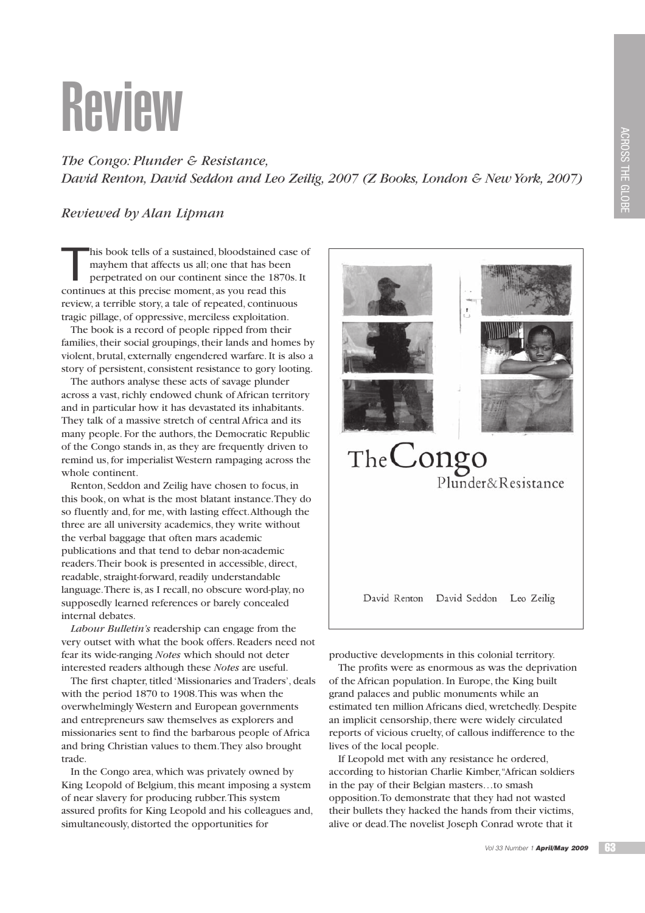## Review

*The Congo: Plunder & Resistance, David Renton, David Seddon and Leo Zeilig, 2007 (Z Books, London & New York, 2007)*

## *Reviewed by Alan Lipman*

T his book tells of a sustained, bloodstained case of mayhem that affects us all; one that has been perpetrated on our continent since the 1870s. It continues at this precise moment, as you read this review, a terrible story, a tale of repeated, continuous tragic pillage, of oppressive, merciless exploitation.

The book is a record of people ripped from their families, their social groupings, their lands and homes by violent, brutal, externally engendered warfare. It is also a story of persistent, consistent resistance to gory looting.

The authors analyse these acts of savage plunder across a vast, richly endowed chunk of African territory and in particular how it has devastated its inhabitants. They talk of a massive stretch of central Africa and its many people. For the authors, the Democratic Republic of the Congo stands in, as they are frequently driven to remind us, for imperialist Western rampaging across the whole continent.

Renton, Seddon and Zeilig have chosen to focus, in this book, on what is the most blatant instance. They do so fluently and, for me, with lasting effect. Although the three are all university academics, they write without the verbal baggage that often mars academic publications and that tend to debar non-academic readers. Their book is presented in accessible, direct, readable, straight-forward, readily understandable language. There is, as I recall, no obscure word-play, no supposedly learned references or barely concealed internal debates.

*Labour Bulletin's* readership can engage from the very outset with what the book offers. Readers need not fear its wide-ranging *Notes* which should not deter interested readers although these *Notes* are useful.

The first chapter, titled 'Missionaries and Traders', deals with the period 1870 to 1908. This was when the overwhelmingly Western and European governments and entrepreneurs saw themselves as explorers and missionaries sent to find the barbarous people of Africa and bring Christian values to them. They also brought trade.

In the Congo area, which was privately owned by King Leopold of Belgium, this meant imposing a system of near slavery for producing rubber. This system assured profits for King Leopold and his colleagues and, simultaneously, distorted the opportunities for



productive developments in this colonial territory.

The profits were as enormous as was the deprivation of the African population. In Europe, the King built grand palaces and public monuments while an estimated ten million Africans died, wretchedly. Despite an implicit censorship, there were widely circulated reports of vicious cruelty, of callous indifference to the lives of the local people.

If Leopold met with any resistance he ordered, according to historian Charlie Kimber, "African soldiers in the pay of their Belgian masters…to smash opposition. To demonstrate that they had not wasted their bullets they hacked the hands from their victims, alive or dead. The novelist Joseph Conrad wrote that it